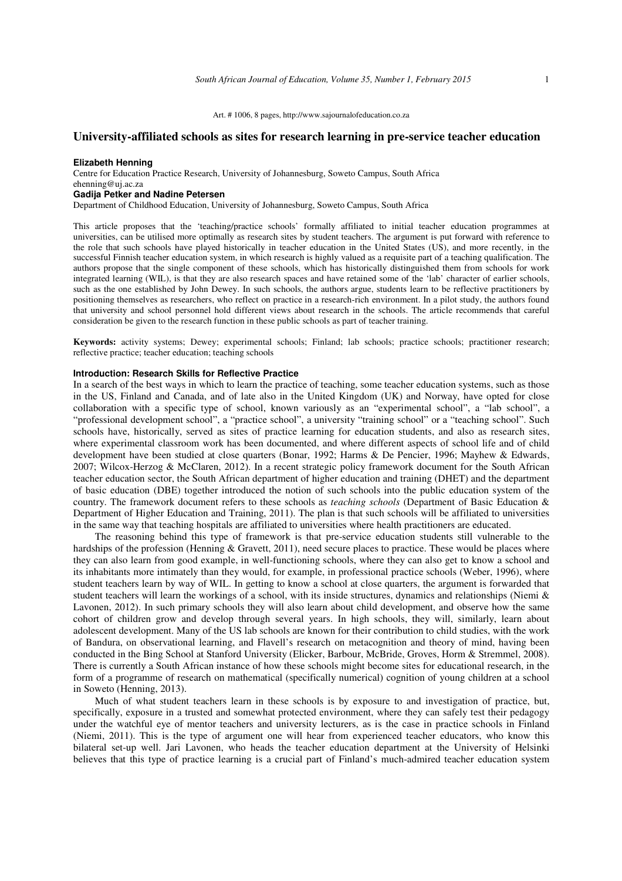#### Art. # 1006, 8 pages, http://www.sajournalofeducation.co.za

# **University-affiliated schools as sites for research learning in pre-service teacher education**

#### **Elizabeth Henning**

Centre for Education Practice Research, University of Johannesburg, Soweto Campus, South Africa ehenning@uj.ac.za **Gadija Petker and Nadine Petersen** 

#### Department of Childhood Education, University of Johannesburg, Soweto Campus, South Africa

This article proposes that the 'teaching/practice schools' formally affiliated to initial teacher education programmes at universities, can be utilised more optimally as research sites by student teachers. The argument is put forward with reference to the role that such schools have played historically in teacher education in the United States (US), and more recently, in the successful Finnish teacher education system, in which research is highly valued as a requisite part of a teaching qualification. The authors propose that the single component of these schools, which has historically distinguished them from schools for work integrated learning (WIL), is that they are also research spaces and have retained some of the 'lab' character of earlier schools, such as the one established by John Dewey. In such schools, the authors argue, students learn to be reflective practitioners by positioning themselves as researchers, who reflect on practice in a research-rich environment. In a pilot study, the authors found that university and school personnel hold different views about research in the schools. The article recommends that careful consideration be given to the research function in these public schools as part of teacher training.

**Keywords:** activity systems; Dewey; experimental schools; Finland; lab schools; practice schools; practitioner research; reflective practice; teacher education; teaching schools

# **Introduction: Research Skills for Reflective Practice**

In a search of the best ways in which to learn the practice of teaching, some teacher education systems, such as those in the US, Finland and Canada, and of late also in the United Kingdom (UK) and Norway, have opted for close collaboration with a specific type of school, known variously as an "experimental school", a "lab school", a "professional development school", a "practice school", a university "training school" or a "teaching school". Such schools have, historically, served as sites of practice learning for education students, and also as research sites, where experimental classroom work has been documented, and where different aspects of school life and of child development have been studied at close quarters (Bonar, 1992; Harms & De Pencier, 1996; Mayhew & Edwards, 2007; Wilcox-Herzog & McClaren, 2012). In a recent strategic policy framework document for the South African teacher education sector, the South African department of higher education and training (DHET) and the department of basic education (DBE) together introduced the notion of such schools into the public education system of the country. The framework document refers to these schools as *teaching schools* (Department of Basic Education & Department of Higher Education and Training, 2011). The plan is that such schools will be affiliated to universities in the same way that teaching hospitals are affiliated to universities where health practitioners are educated.

The reasoning behind this type of framework is that pre-service education students still vulnerable to the hardships of the profession (Henning & Gravett, 2011), need secure places to practice. These would be places where they can also learn from good example, in well-functioning schools, where they can also get to know a school and its inhabitants more intimately than they would, for example, in professional practice schools (Weber, 1996), where student teachers learn by way of WIL. In getting to know a school at close quarters, the argument is forwarded that student teachers will learn the workings of a school, with its inside structures, dynamics and relationships (Niemi & Lavonen, 2012). In such primary schools they will also learn about child development, and observe how the same cohort of children grow and develop through several years. In high schools, they will, similarly, learn about adolescent development. Many of the US lab schools are known for their contribution to child studies, with the work of Bandura, on observational learning, and Flavell's research on metacognition and theory of mind, having been conducted in the Bing School at Stanford University (Elicker, Barbour, McBride, Groves, Horm & Stremmel, 2008). There is currently a South African instance of how these schools might become sites for educational research, in the form of a programme of research on mathematical (specifically numerical) cognition of young children at a school in Soweto (Henning, 2013).

Much of what student teachers learn in these schools is by exposure to and investigation of practice, but, specifically, exposure in a trusted and somewhat protected environment, where they can safely test their pedagogy under the watchful eye of mentor teachers and university lecturers, as is the case in practice schools in Finland (Niemi, 2011). This is the type of argument one will hear from experienced teacher educators, who know this bilateral set-up well. Jari Lavonen, who heads the teacher education department at the University of Helsinki believes that this type of practice learning is a crucial part of Finland's much-admired teacher education system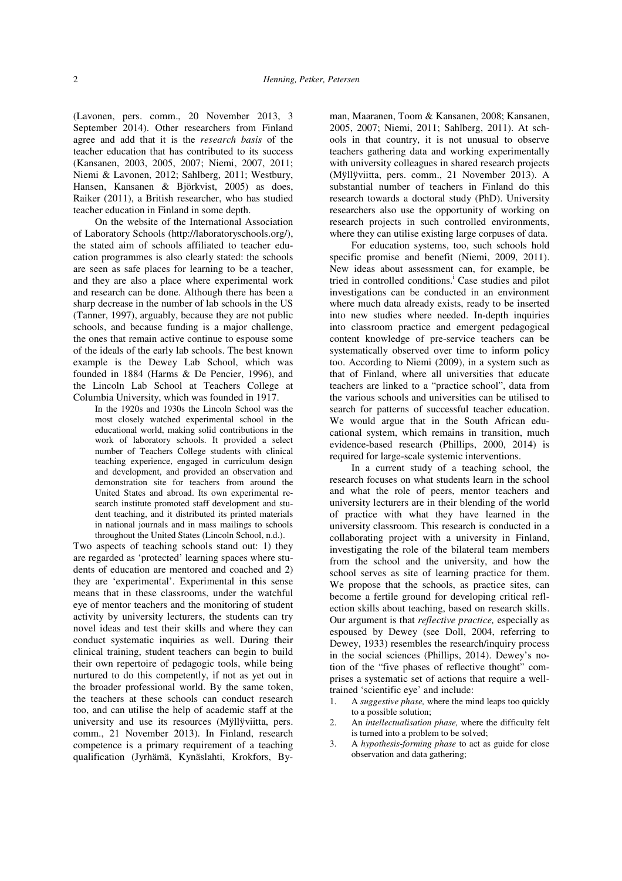(Lavonen, pers. comm., 20 November 2013, 3 September 2014). Other researchers from Finland agree and add that it is the *research basis* of the teacher education that has contributed to its success (Kansanen, 2003, 2005, 2007; Niemi, 2007, 2011; Niemi & Lavonen, 2012; Sahlberg, 2011; Westbury, Hansen, Kansanen & Björkvist, 2005) as does, Raiker (2011), a British researcher, who has studied teacher education in Finland in some depth.

On the website of the International Association of Laboratory Schools (http://laboratoryschools.org/), the stated aim of schools affiliated to teacher education programmes is also clearly stated: the schools are seen as safe places for learning to be a teacher, and they are also a place where experimental work and research can be done. Although there has been a sharp decrease in the number of lab schools in the US (Tanner, 1997), arguably, because they are not public schools, and because funding is a major challenge, the ones that remain active continue to espouse some of the ideals of the early lab schools. The best known example is the Dewey Lab School, which was founded in 1884 (Harms & De Pencier, 1996), and the Lincoln Lab School at Teachers College at Columbia University, which was founded in 1917.

In the 1920s and 1930s the Lincoln School was the most closely watched experimental school in the educational world, making solid contributions in the work of laboratory schools. It provided a select number of Teachers College students with clinical teaching experience, engaged in curriculum design and development, and provided an observation and demonstration site for teachers from around the United States and abroad. Its own experimental research institute promoted staff development and student teaching, and it distributed its printed materials in national journals and in mass mailings to schools throughout the United States (Lincoln School, n.d.).

Two aspects of teaching schools stand out: 1) they are regarded as 'protected' learning spaces where students of education are mentored and coached and 2) they are 'experimental'. Experimental in this sense means that in these classrooms, under the watchful eye of mentor teachers and the monitoring of student activity by university lecturers, the students can try novel ideas and test their skills and where they can conduct systematic inquiries as well. During their clinical training, student teachers can begin to build their own repertoire of pedagogic tools, while being nurtured to do this competently, if not as yet out in the broader professional world. By the same token, the teachers at these schools can conduct research too, and can utilise the help of academic staff at the university and use its resources (Mÿllÿviitta, pers. comm., 21 November 2013). In Finland, research competence is a primary requirement of a teaching qualification (Jyrhämä, Kynäslahti, Krokfors, By-

man, Maaranen, Toom & Kansanen, 2008; Kansanen, 2005, 2007; Niemi, 2011; Sahlberg, 2011). At schools in that country, it is not unusual to observe teachers gathering data and working experimentally with university colleagues in shared research projects (Mÿllÿviitta, pers. comm., 21 November 2013). A substantial number of teachers in Finland do this research towards a doctoral study (PhD). University researchers also use the opportunity of working on research projects in such controlled environments, where they can utilise existing large corpuses of data.

For education systems, too, such schools hold specific promise and benefit (Niemi, 2009, 2011). New ideas about assessment can, for example, be tried in controlled conditions.<sup>i</sup> Case studies and pilot investigations can be conducted in an environment where much data already exists, ready to be inserted into new studies where needed. In-depth inquiries into classroom practice and emergent pedagogical content knowledge of pre-service teachers can be systematically observed over time to inform policy too. According to Niemi (2009), in a system such as that of Finland, where all universities that educate teachers are linked to a "practice school", data from the various schools and universities can be utilised to search for patterns of successful teacher education. We would argue that in the South African educational system, which remains in transition, much evidence-based research (Phillips, 2000, 2014) is required for large-scale systemic interventions.

In a current study of a teaching school, the research focuses on what students learn in the school and what the role of peers, mentor teachers and university lecturers are in their blending of the world of practice with what they have learned in the university classroom. This research is conducted in a collaborating project with a university in Finland, investigating the role of the bilateral team members from the school and the university, and how the school serves as site of learning practice for them. We propose that the schools, as practice sites, can become a fertile ground for developing critical reflection skills about teaching, based on research skills. Our argument is that *reflective practice,* especially as espoused by Dewey (see Doll, 2004, referring to Dewey, 1933) resembles the research/inquiry process in the social sciences (Phillips, 2014). Dewey's notion of the "five phases of reflective thought" comprises a systematic set of actions that require a welltrained 'scientific eye' and include:

- 1. A *suggestive phase,* where the mind leaps too quickly to a possible solution;
- 2. An *intellectualisation phase,* where the difficulty felt is turned into a problem to be solved;
- 3. A *hypothesis-forming phase* to act as guide for close observation and data gathering;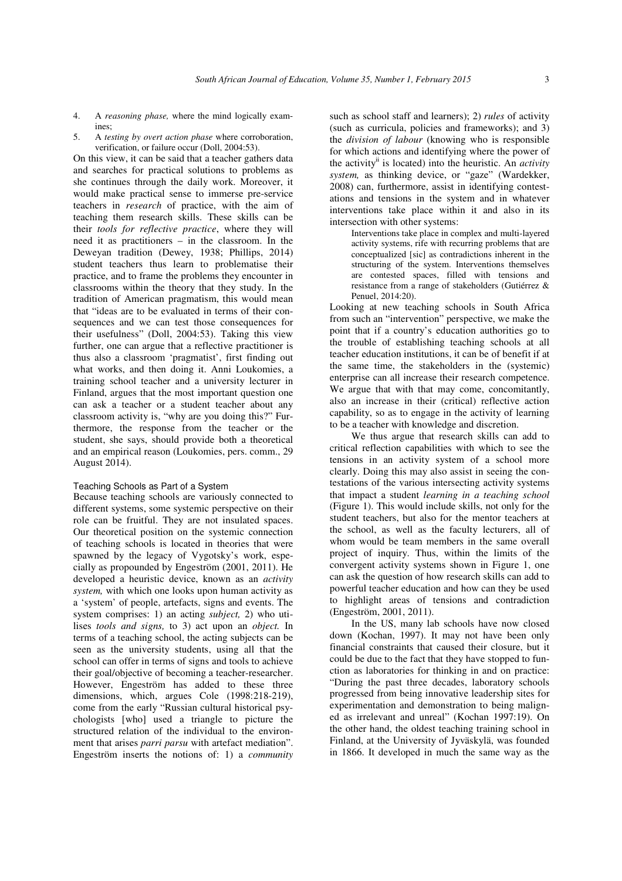- 4. A *reasoning phase,* where the mind logically examines;
- 5. A *testing by overt action phase* where corroboration, verification, or failure occur (Doll, 2004:53).

On this view, it can be said that a teacher gathers data and searches for practical solutions to problems as she continues through the daily work. Moreover, it would make practical sense to immerse pre-service teachers in *research* of practice, with the aim of teaching them research skills. These skills can be their *tools for reflective practice*, where they will need it as practitioners – in the classroom. In the Deweyan tradition (Dewey, 1938; Phillips, 2014) student teachers thus learn to problematise their practice, and to frame the problems they encounter in classrooms within the theory that they study. In the tradition of American pragmatism, this would mean that "ideas are to be evaluated in terms of their consequences and we can test those consequences for their usefulness" (Doll, 2004:53). Taking this view further, one can argue that a reflective practitioner is thus also a classroom 'pragmatist', first finding out what works, and then doing it. Anni Loukomies, a training school teacher and a university lecturer in Finland, argues that the most important question one can ask a teacher or a student teacher about any classroom activity is, "why are you doing this?" Furthermore, the response from the teacher or the student, she says, should provide both a theoretical and an empirical reason (Loukomies, pers. comm., 29 August 2014).

### Teaching Schools as Part of a System

Because teaching schools are variously connected to different systems, some systemic perspective on their role can be fruitful. They are not insulated spaces. Our theoretical position on the systemic connection of teaching schools is located in theories that were spawned by the legacy of Vygotsky's work, especially as propounded by Engeström (2001, 2011). He developed a heuristic device, known as an *activity system,* with which one looks upon human activity as a 'system' of people, artefacts, signs and events. The system comprises: 1) an acting *subject,* 2) who utilises *tools and signs,* to 3) act upon an *object.* In terms of a teaching school, the acting subjects can be seen as the university students, using all that the school can offer in terms of signs and tools to achieve their goal/objective of becoming a teacher-researcher. However, Engeström has added to these three dimensions, which, argues Cole (1998:218-219), come from the early "Russian cultural historical psychologists [who] used a triangle to picture the structured relation of the individual to the environment that arises *parri parsu* with artefact mediation". Engeström inserts the notions of: 1) a *community*

such as school staff and learners); 2) *rules* of activity (such as curricula, policies and frameworks); and 3) the *division of labour* (knowing who is responsible for which actions and identifying where the power of the activityii is located) into the heuristic. An *activity system,* as thinking device, or "gaze" (Wardekker, 2008) can, furthermore, assist in identifying contestations and tensions in the system and in whatever interventions take place within it and also in its intersection with other systems:

Interventions take place in complex and multi-layered activity systems, rife with recurring problems that are conceptualized [sic] as contradictions inherent in the structuring of the system. Interventions themselves are contested spaces, filled with tensions and resistance from a range of stakeholders (Gutiérrez & Penuel, 2014:20).

Looking at new teaching schools in South Africa from such an "intervention" perspective, we make the point that if a country's education authorities go to the trouble of establishing teaching schools at all teacher education institutions, it can be of benefit if at the same time, the stakeholders in the (systemic) enterprise can all increase their research competence. We argue that with that may come, concomitantly, also an increase in their (critical) reflective action capability, so as to engage in the activity of learning to be a teacher with knowledge and discretion.

We thus argue that research skills can add to critical reflection capabilities with which to see the tensions in an activity system of a school more clearly. Doing this may also assist in seeing the contestations of the various intersecting activity systems that impact a student *learning in a teaching school* (Figure 1). This would include skills, not only for the student teachers, but also for the mentor teachers at the school, as well as the faculty lecturers, all of whom would be team members in the same overall project of inquiry. Thus, within the limits of the convergent activity systems shown in Figure 1, one can ask the question of how research skills can add to powerful teacher education and how can they be used to highlight areas of tensions and contradiction (Engeström, 2001, 2011).

In the US, many lab schools have now closed down (Kochan, 1997). It may not have been only financial constraints that caused their closure, but it could be due to the fact that they have stopped to function as laboratories for thinking in and on practice: "During the past three decades, laboratory schools progressed from being innovative leadership sites for experimentation and demonstration to being maligned as irrelevant and unreal" (Kochan 1997:19). On the other hand, the oldest teaching training school in Finland, at the University of Jyväskylä, was founded in 1866. It developed in much the same way as the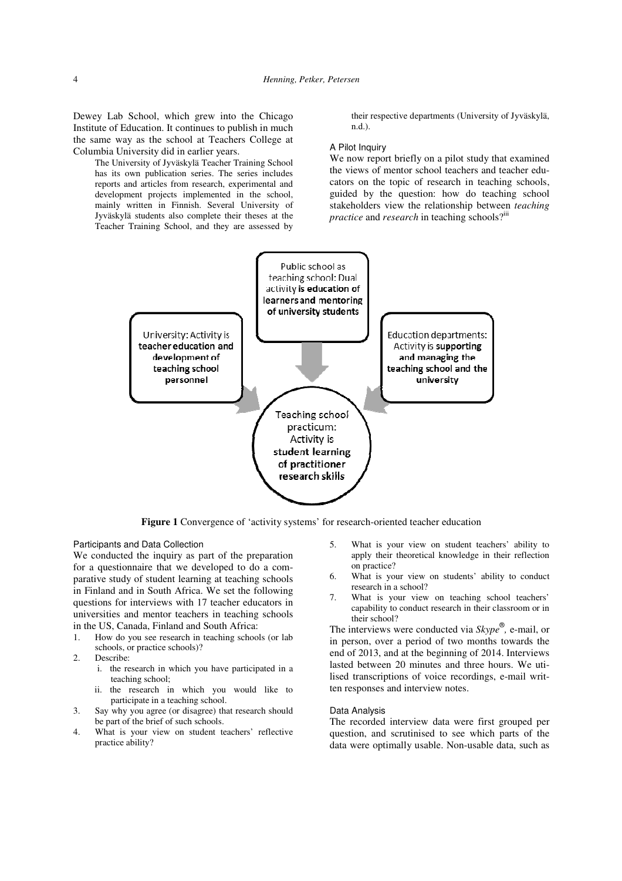Dewey Lab School, which grew into the Chicago Institute of Education. It continues to publish in much the same way as the school at Teachers College at Columbia University did in earlier years.

The University of Jyväskylä Teacher Training School has its own publication series. The series includes reports and articles from research, experimental and development projects implemented in the school, mainly written in Finnish. Several University of Jyväskylä students also complete their theses at the Teacher Training School, and they are assessed by

their respective departments (University of Jyväskylä, n.d.).

### A Pilot Inquiry

We now report briefly on a pilot study that examined the views of mentor school teachers and teacher educators on the topic of research in teaching schools, guided by the question: how do teaching school stakeholders view the relationship between *teaching practice* and *research* in teaching schools?<sup>iii</sup>



**Figure 1** Convergence of 'activity systems' for research-oriented teacher education

Participants and Data Collection

We conducted the inquiry as part of the preparation for a questionnaire that we developed to do a comparative study of student learning at teaching schools in Finland and in South Africa. We set the following questions for interviews with 17 teacher educators in universities and mentor teachers in teaching schools in the US, Canada, Finland and South Africa:

- 1. How do you see research in teaching schools (or lab schools, or practice schools)?
- 2. Describe:
	- i. the research in which you have participated in a teaching school;
	- ii. the research in which you would like to participate in a teaching school.
- 3. Say why you agree (or disagree) that research should be part of the brief of such schools.
- 4. What is your view on student teachers' reflective practice ability?
- 5. What is your view on student teachers' ability to apply their theoretical knowledge in their reflection on practice?
- 6. What is your view on students' ability to conduct research in a school?
- 7. What is your view on teaching school teachers' capability to conduct research in their classroom or in their school?

The interviews were conducted via *Skype*® *,* e-mail, or in person, over a period of two months towards the end of 2013, and at the beginning of 2014. Interviews lasted between 20 minutes and three hours. We utilised transcriptions of voice recordings, e-mail written responses and interview notes.

# Data Analysis

The recorded interview data were first grouped per question, and scrutinised to see which parts of the data were optimally usable. Non-usable data, such as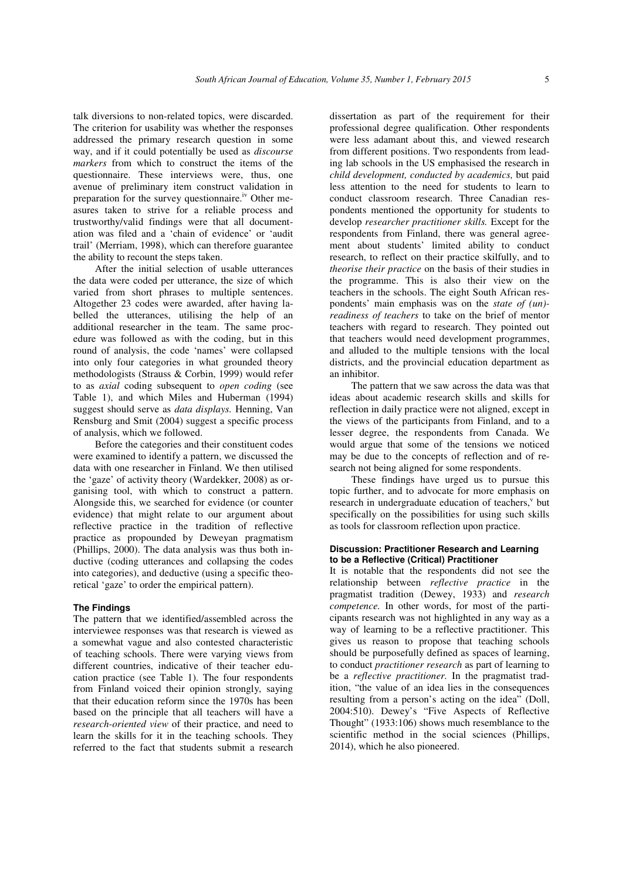talk diversions to non-related topics, were discarded. The criterion for usability was whether the responses addressed the primary research question in some way, and if it could potentially be used as *discourse markers* from which to construct the items of the questionnaire. These interviews were, thus, one avenue of preliminary item construct validation in preparation for the survey questionnaire.<sup>iv</sup> Other measures taken to strive for a reliable process and trustworthy/valid findings were that all documentation was filed and a 'chain of evidence' or 'audit trail' (Merriam, 1998), which can therefore guarantee the ability to recount the steps taken.

After the initial selection of usable utterances the data were coded per utterance, the size of which varied from short phrases to multiple sentences. Altogether 23 codes were awarded, after having labelled the utterances, utilising the help of an additional researcher in the team. The same procedure was followed as with the coding, but in this round of analysis, the code 'names' were collapsed into only four categories in what grounded theory methodologists (Strauss & Corbin, 1999) would refer to as *axial* coding subsequent to *open coding* (see Table 1), and which Miles and Huberman (1994) suggest should serve as *data displays.* Henning, Van Rensburg and Smit (2004) suggest a specific process of analysis, which we followed.

Before the categories and their constituent codes were examined to identify a pattern, we discussed the data with one researcher in Finland. We then utilised the 'gaze' of activity theory (Wardekker, 2008) as organising tool, with which to construct a pattern. Alongside this, we searched for evidence (or counter evidence) that might relate to our argument about reflective practice in the tradition of reflective practice as propounded by Deweyan pragmatism (Phillips, 2000). The data analysis was thus both inductive (coding utterances and collapsing the codes into categories), and deductive (using a specific theoretical 'gaze' to order the empirical pattern).

# **The Findings**

The pattern that we identified/assembled across the interviewee responses was that research is viewed as a somewhat vague and also contested characteristic of teaching schools. There were varying views from different countries, indicative of their teacher education practice (see Table 1). The four respondents from Finland voiced their opinion strongly, saying that their education reform since the 1970s has been based on the principle that all teachers will have a *research-oriented view* of their practice, and need to learn the skills for it in the teaching schools. They referred to the fact that students submit a research

dissertation as part of the requirement for their professional degree qualification. Other respondents were less adamant about this, and viewed research from different positions. Two respondents from leading lab schools in the US emphasised the research in *child development, conducted by academics,* but paid less attention to the need for students to learn to conduct classroom research. Three Canadian respondents mentioned the opportunity for students to develop *researcher practitioner skills.* Except for the respondents from Finland, there was general agreement about students' limited ability to conduct research, to reflect on their practice skilfully, and to *theorise their practice* on the basis of their studies in the programme. This is also their view on the teachers in the schools. The eight South African respondents' main emphasis was on the *state of (un) readiness of teachers* to take on the brief of mentor teachers with regard to research. They pointed out that teachers would need development programmes, and alluded to the multiple tensions with the local districts, and the provincial education department as an inhibitor.

The pattern that we saw across the data was that ideas about academic research skills and skills for reflection in daily practice were not aligned, except in the views of the participants from Finland, and to a lesser degree, the respondents from Canada. We would argue that some of the tensions we noticed may be due to the concepts of reflection and of research not being aligned for some respondents.

These findings have urged us to pursue this topic further, and to advocate for more emphasis on research in undergraduate education of teachers,<sup>v</sup> but specifically on the possibilities for using such skills as tools for classroom reflection upon practice.

# **Discussion: Practitioner Research and Learning to be a Reflective (Critical) Practitioner**

It is notable that the respondents did not see the relationship between *reflective practice* in the pragmatist tradition (Dewey, 1933) and *research competence.* In other words, for most of the participants research was not highlighted in any way as a way of learning to be a reflective practitioner. This gives us reason to propose that teaching schools should be purposefully defined as spaces of learning, to conduct *practitioner research* as part of learning to be a *reflective practitioner.* In the pragmatist tradition, "the value of an idea lies in the consequences resulting from a person's acting on the idea" (Doll, 2004:510). Dewey's "Five Aspects of Reflective Thought" (1933:106) shows much resemblance to the scientific method in the social sciences (Phillips, 2014), which he also pioneered.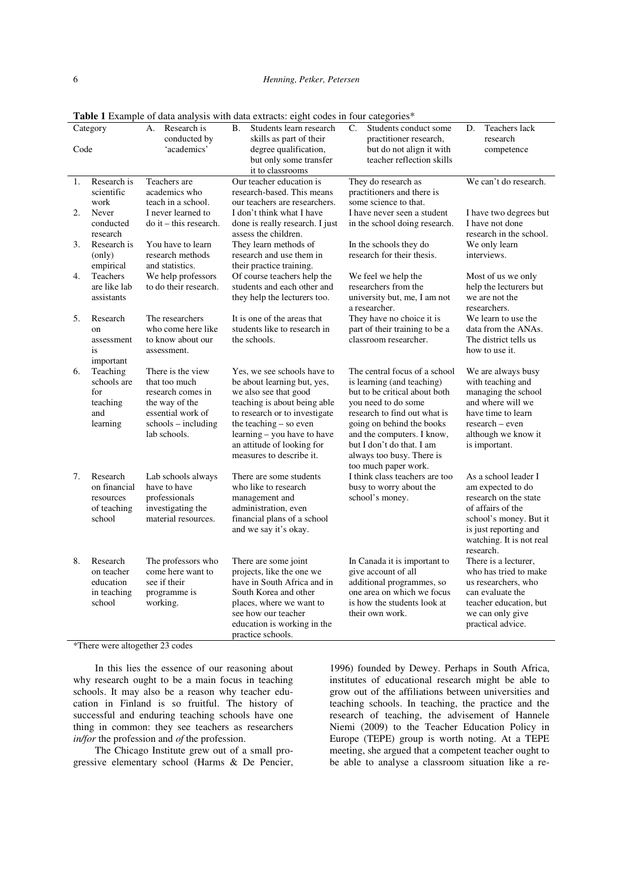| Category |                                                                | Research is<br>А.<br>conducted by                                                                                                       | B.<br>Students learn research<br>skills as part of their                                                                                                                                                                                                                | C.<br>Students conduct some<br>practitioner research,                                                                                                                                                                                                                                            | <b>Teachers</b> lack<br>D.<br>research                                                                                                                                              |
|----------|----------------------------------------------------------------|-----------------------------------------------------------------------------------------------------------------------------------------|-------------------------------------------------------------------------------------------------------------------------------------------------------------------------------------------------------------------------------------------------------------------------|--------------------------------------------------------------------------------------------------------------------------------------------------------------------------------------------------------------------------------------------------------------------------------------------------|-------------------------------------------------------------------------------------------------------------------------------------------------------------------------------------|
| Code     |                                                                | 'academics'                                                                                                                             | degree qualification,<br>but only some transfer<br>it to classrooms                                                                                                                                                                                                     | but do not align it with<br>teacher reflection skills                                                                                                                                                                                                                                            | competence                                                                                                                                                                          |
| 1.       | Research is<br>scientific<br>work                              | Teachers are<br>academics who<br>teach in a school.                                                                                     | Our teacher education is<br>research-based. This means<br>our teachers are researchers.                                                                                                                                                                                 | They do research as<br>practitioners and there is<br>some science to that.                                                                                                                                                                                                                       | We can't do research.                                                                                                                                                               |
| 2.       | Never<br>conducted<br>research                                 | I never learned to<br>$\phi$ it – this research.                                                                                        | I don't think what I have<br>done is really research. I just<br>assess the children.                                                                                                                                                                                    | I have never seen a student<br>in the school doing research.                                                                                                                                                                                                                                     | I have two degrees but<br>I have not done<br>research in the school.                                                                                                                |
| 3.       | Research is<br>(only)<br>empirical                             | You have to learn<br>research methods<br>and statistics.                                                                                | They learn methods of<br>research and use them in<br>their practice training.                                                                                                                                                                                           | In the schools they do<br>research for their thesis.                                                                                                                                                                                                                                             | We only learn<br>interviews.                                                                                                                                                        |
| 4.       | Teachers<br>are like lab<br>assistants                         | We help professors<br>to do their research.                                                                                             | Of course teachers help the<br>students and each other and<br>they help the lecturers too.                                                                                                                                                                              | We feel we help the<br>researchers from the<br>university but, me, I am not<br>a researcher.                                                                                                                                                                                                     | Most of us we only<br>help the lecturers but<br>we are not the<br>researchers.                                                                                                      |
| 5.       | Research<br>on<br>assessment<br>is<br>important                | The researchers<br>who come here like<br>to know about our<br>assessment.                                                               | It is one of the areas that<br>students like to research in<br>the schools.                                                                                                                                                                                             | They have no choice it is<br>part of their training to be a<br>classroom researcher.                                                                                                                                                                                                             | We learn to use the<br>data from the ANAs.<br>The district tells us<br>how to use it.                                                                                               |
| 6.       | Teaching<br>schools are<br>for<br>teaching<br>and<br>learning  | There is the view<br>that too much<br>research comes in<br>the way of the<br>essential work of<br>$schools - including$<br>lab schools. | Yes, we see schools have to<br>be about learning but, yes,<br>we also see that good<br>teaching is about being able<br>to research or to investigate<br>the teaching - so even<br>learning - you have to have<br>an attitude of looking for<br>measures to describe it. | The central focus of a school<br>is learning (and teaching)<br>but to be critical about both<br>vou need to do some<br>research to find out what is<br>going on behind the books<br>and the computers. I know,<br>but I don't do that. I am<br>always too busy. There is<br>too much paper work. | We are always busy<br>with teaching and<br>managing the school<br>and where will we<br>have time to learn<br>research – even<br>although we know it<br>is important.                |
| 7.       | Research<br>on financial<br>resources<br>of teaching<br>school | Lab schools always<br>have to have<br>professionals<br>investigating the<br>material resources.                                         | There are some students<br>who like to research<br>management and<br>administration, even<br>financial plans of a school<br>and we say it's okay.                                                                                                                       | I think class teachers are too<br>busy to worry about the<br>school's money.                                                                                                                                                                                                                     | As a school leader I<br>am expected to do<br>research on the state<br>of affairs of the<br>school's money. But it<br>is just reporting and<br>watching. It is not real<br>research. |
| 8.       | Research<br>on teacher<br>education<br>in teaching<br>school   | The professors who<br>come here want to<br>see if their<br>programme is<br>working.                                                     | There are some joint<br>projects, like the one we<br>have in South Africa and in<br>South Korea and other<br>places, where we want to<br>see how our teacher<br>education is working in the<br>practice schools.                                                        | In Canada it is important to<br>give account of all<br>additional programmes, so<br>one area on which we focus<br>is how the students look at<br>their own work.                                                                                                                                 | There is a lecturer,<br>who has tried to make<br>us researchers, who<br>can evaluate the<br>teacher education, but<br>we can only give<br>practical advice.                         |

Table 1 Example of data analysis with data extracts: eight codes in four categories\*

\*There were altogether 23 codes

In this lies the essence of our reasoning about why research ought to be a main focus in teaching schools. It may also be a reason why teacher education in Finland is so fruitful. The history of successful and enduring teaching schools have one thing in common: they see teachers as researchers *in/for* the profession and *of* the profession.

The Chicago Institute grew out of a small progressive elementary school (Harms & De Pencier,

1996) founded by Dewey. Perhaps in South Africa, institutes of educational research might be able to grow out of the affiliations between universities and teaching schools. In teaching, the practice and the research of teaching, the advisement of Hannele Niemi (2009) to the Teacher Education Policy in Europe (TEPE) group is worth noting. At a TEPE meeting, she argued that a competent teacher ought to be able to analyse a classroom situation like a re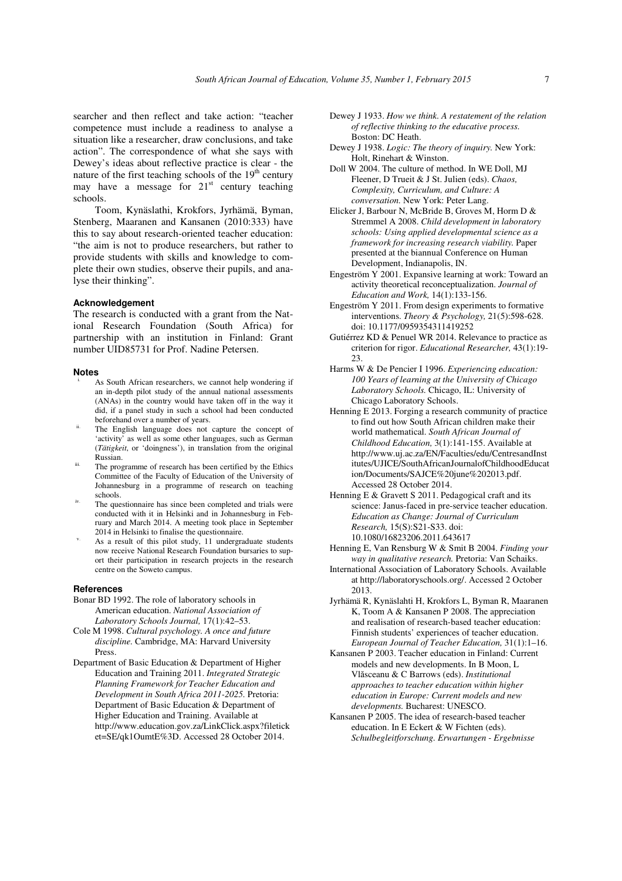searcher and then reflect and take action: "teacher competence must include a readiness to analyse a situation like a researcher, draw conclusions, and take action". The correspondence of what she says with Dewey's ideas about reflective practice is clear - the nature of the first teaching schools of the  $19<sup>th</sup>$  century may have a message for  $21<sup>st</sup>$  century teaching schools.

Toom, Kynäslathi, Krokfors, Jyrhämä, Byman, Stenberg, Maaranen and Kansanen (2010:333) have this to say about research-oriented teacher education: "the aim is not to produce researchers, but rather to provide students with skills and knowledge to complete their own studies, observe their pupils, and analyse their thinking".

## **Acknowledgement**

The research is conducted with a grant from the National Research Foundation (South Africa) for partnership with an institution in Finland: Grant number UID85731 for Prof. Nadine Petersen.

#### **Notes**

- As South African researchers, we cannot help wondering if an in-depth pilot study of the annual national assessments (ANAs) in the country would have taken off in the way it did, if a panel study in such a school had been conducted beforehand over a number of years.
- The English language does not capture the concept of 'activity' as well as some other languages, such as German (*Tätigkeit*, or 'doingness'), in translation from the original Russian.
- The programme of research has been certified by the Ethics Committee of the Faculty of Education of the University of Johannesburg in a programme of research on teaching schools.
- The questionnaire has since been completed and trials were conducted with it in Helsinki and in Johannesburg in February and March 2014. A meeting took place in September 2014 in Helsinki to finalise the questionnaire.
- As a result of this pilot study, 11 undergraduate students now receive National Research Foundation bursaries to suport their participation in research projects in the research centre on the Soweto campus.

#### **References**

- Bonar BD 1992. The role of laboratory schools in American education. *National Association of Laboratory Schools Journal,* 17(1):42–53.
- Cole M 1998. *Cultural psychology. A once and future discipline.* Cambridge, MA: Harvard University Press.
- Department of Basic Education & Department of Higher Education and Training 2011. *Integrated Strategic Planning Framework for Teacher Education and Development in South Africa 2011-2025.* Pretoria: Department of Basic Education & Department of Higher Education and Training. Available at http://www.education.gov.za/LinkClick.aspx?filetick et=SE/qk1OumtE%3D. Accessed 28 October 2014.
- Dewey J 1933. *How we think. A restatement of the relation of reflective thinking to the educative process.*  Boston: DC Heath.
- Dewey J 1938. *Logic: The theory of inquiry.* New York: Holt, Rinehart & Winston.
- Doll W 2004. The culture of method. In WE Doll, MJ Fleener, D Trueit & J St. Julien (eds). *Chaos, Complexity, Curriculum, and Culture: A conversation.* New York: Peter Lang.
- Elicker J, Barbour N, McBride B, Groves M, Horm D & Stremmel A 2008. *Child development in laboratory schools: Using applied developmental science as a framework for increasing research viability.* Paper presented at the biannual Conference on Human Development, Indianapolis, IN.
- Engeström Y 2001. Expansive learning at work: Toward an activity theoretical reconceptualization. *Journal of Education and Work,* 14(1):133-156.
- Engeström Y 2011. From design experiments to formative interventions. *Theory & Psychology,* 21(5):598-628. doi: 10.1177/0959354311419252
- Gutiérrez KD & Penuel WR 2014. Relevance to practice as criterion for rigor. *Educational Researcher,* 43(1):19- 23.
- Harms W & De Pencier I 1996. *Experiencing education: 100 Years of learning at the University of Chicago Laboratory Schools.* Chicago, IL: University of Chicago Laboratory Schools.
- Henning E 2013. Forging a research community of practice to find out how South African children make their world mathematical. *South African Journal of Childhood Education,* 3(1):141-155. Available at http://www.uj.ac.za/EN/Faculties/edu/CentresandInst itutes/UJICE/SouthAfricanJournalofChildhoodEducat ion/Documents/SAJCE%20june%202013.pdf. Accessed 28 October 2014.
- Henning E & Gravett S 2011. Pedagogical craft and its science: Janus-faced in pre-service teacher education. *Education as Change: Journal of Curriculum Research,* 15(S):S21-S33. doi: 10.1080/16823206.2011.643617
- Henning E, Van Rensburg W & Smit B 2004. *Finding your way in qualitative research.* Pretoria: Van Schaiks.
- International Association of Laboratory Schools. Available at http://laboratoryschools.org/. Accessed 2 October 2013.
- Jyrhämä R, Kynäslahti H, Krokfors L, Byman R, Maaranen K, Toom A & Kansanen P 2008. The appreciation and realisation of research-based teacher education: Finnish students' experiences of teacher education. *European Journal of Teacher Education,* 31(1):1–16.
- Kansanen P 2003. Teacher education in Finland: Current models and new developments. In B Moon, L Vlăsceanu & C Barrows (eds). *Institutional approaches to teacher education within higher education in Europe: Current models and new developments.* Bucharest: UNESCO.
- Kansanen P 2005. The idea of research-based teacher education. In E Eckert & W Fichten (eds). *Schulbegleitforschung. Erwartungen - Ergebnisse*